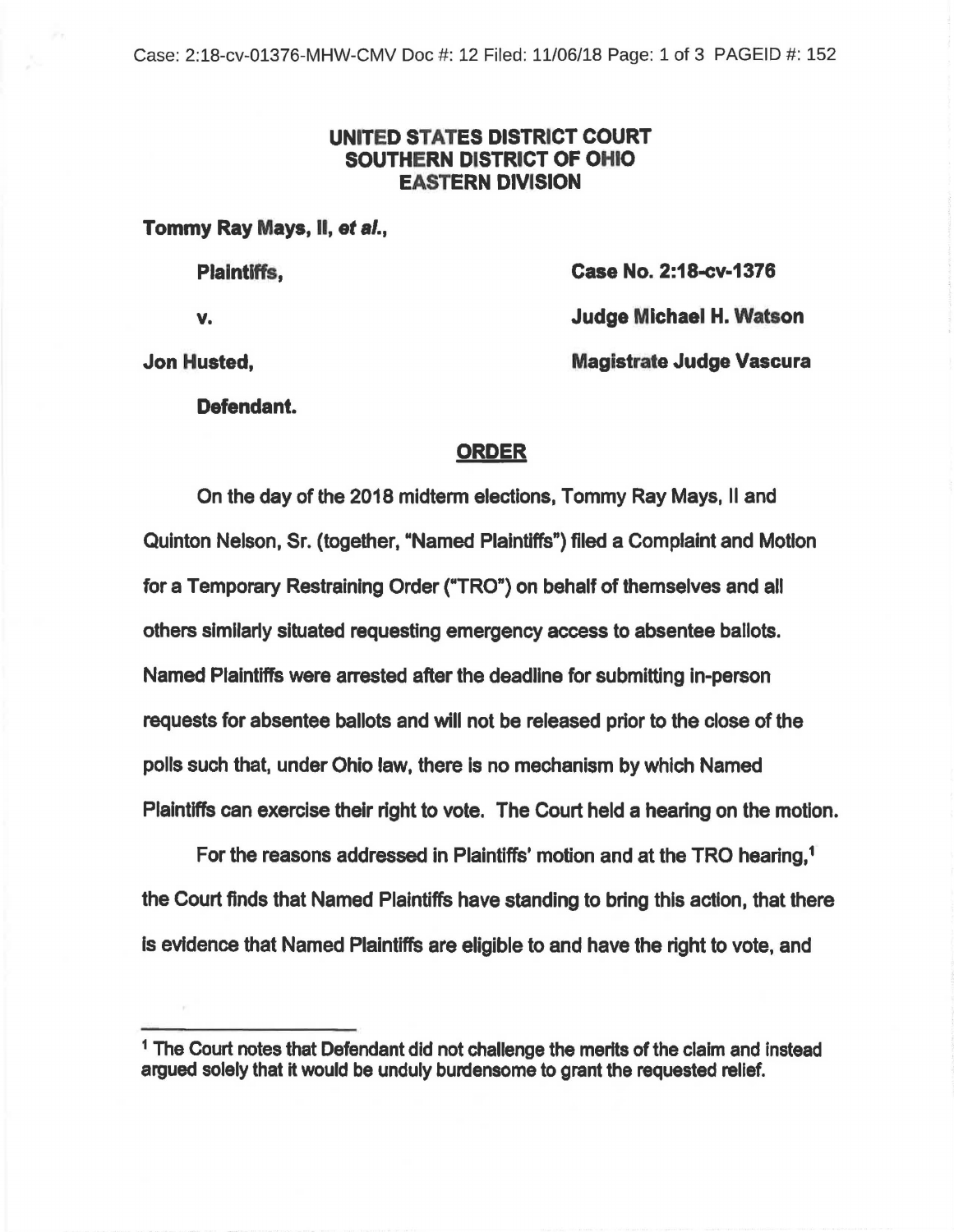## **UNITED STATES DISTRICT** COURT **SOUTHERN** DISTRICT OF OHIO **EASTERN DIVISION**

Tommy Ray Mays, II, et al.,

Plalntlffs, **Case No. 2:18-cv-1376** 

**v.** 

**Jon Husted,** 

**Judge Mlchael** H. **Watson** 

**Magistrate Judge Vascura** 

**Defendant.** 

## **ORDER**

On the day of the 2018 midterm elections, Tommy Ray Mays, II and Quinton Nelson, Sr. (together, "Named Plaintiffs") filed a Complaint and Motion for a Temporary Restraining Order ("TRO") on behalf of themselves and all others similarly situated requesting emergency access to absentee ballots. Named Plaintiffs were arrested after the deadline for submitting In-person requests for absentee ballots and will not be released prior to the close of the polls such that, under Ohio law, there is no mechanism by which Named Plaintiffs can exercise their right to vote. The Court held a hearing on the motion.

For the reasons addressed in Plaintiffs' motion and at the TRO hearing.<sup>1</sup> the Court finds that Named Plaintiffs have standing to bring this action, that there Is evidence that Named Plaintiffs are eligible to and have the right to vote, and

<sup>&</sup>lt;sup>1</sup> The Court notes that Defendant did not challenge the merits of the claim and instead argued solely that it would be unduly burdensome to grant the requested relief.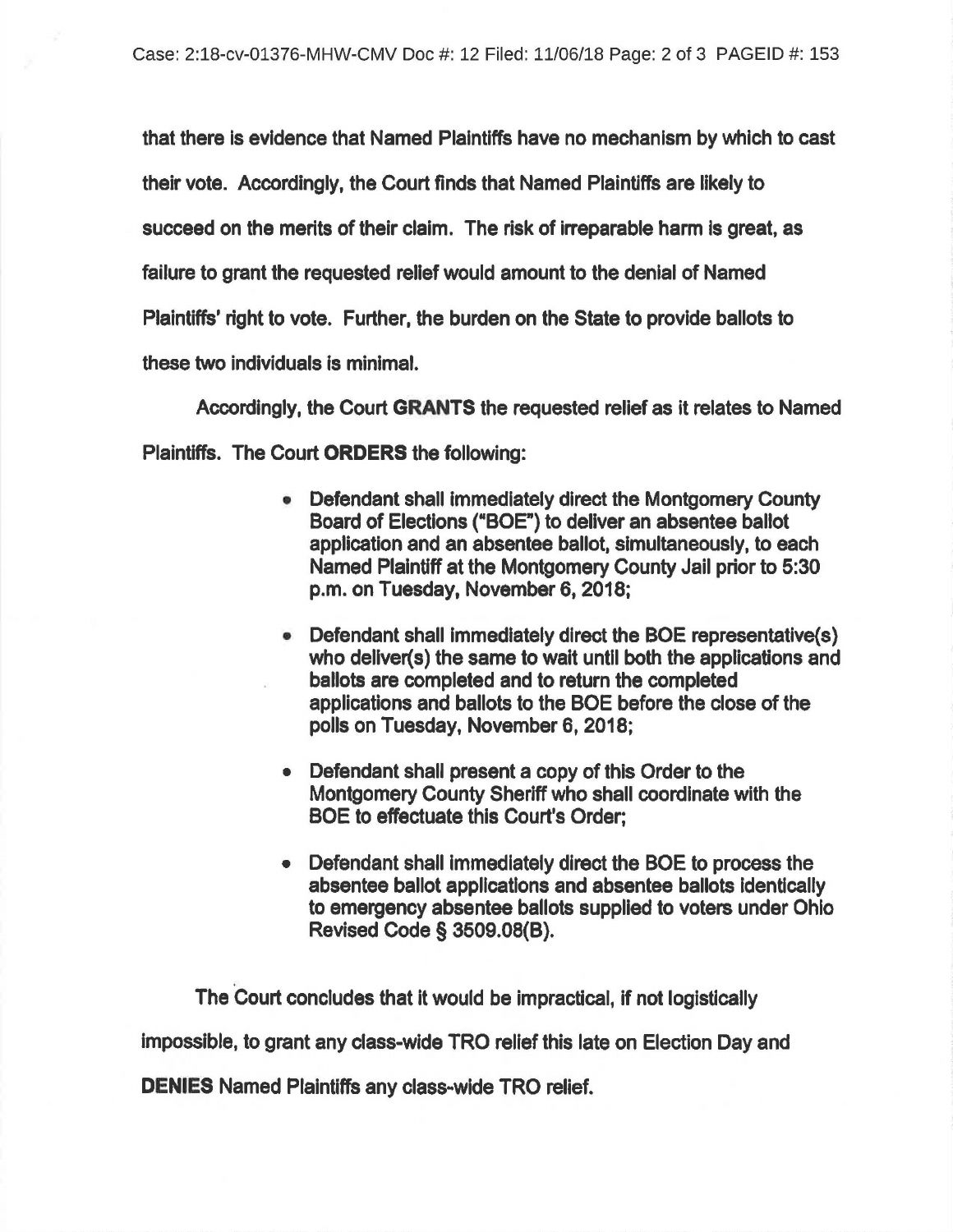that there is evidence that Named Plaintiffs have no mechanism by which to cast their vote. Accordingly, the Court finds that Named Plaintiffs are likely to succeed on the merits of their claim. The risk of irreparable harm is great, as failure to grant the requested relief would amount to the denial of Named Plaintiffs' right to vote. Further, the burden on the State to provide ballots to these two individuals is minimal.

Accordingly, the Court **GRANTS** the requested relief as it relates to Named Plaintiffs. The Court **ORDERS** the following:

- Defendant shall immediately direct the Montgomery County Board of Elections ("BOE") to deliver an absentee ballot application and an absentee ballot, simultaneously, to each Named Plaintiff at the Montgomery County Jail prior to 5:30 p.m. on Tuesday, November 6, 2018;
- Defendant shall Immediately direct the BOE representative(s) who deliver(s) the same to wait until both the applications and ballots are completed and to return the completed applications and ballots to the BOE before the close of the polls on Tuesday, November 6, 2018;
- Defendant shall present a copy of this Order to the Montgomery County Sheriff who shall coordinate with the BOE to effectuate this Court's Order;
- Defendant shall Immediately direct the BOE to process the absentee ballot appllcatlons and absentee ballots Identically to emergency absentee ballots supplied to voters under Ohio Revised Code § 3609.08(8).

The Court concludes that it would be impractical, if not logistically

impossible, to grant any class-wide TRO relief this late on Election Day and

**DENIES** Named Plaintiffs any class-wide TRO relief.